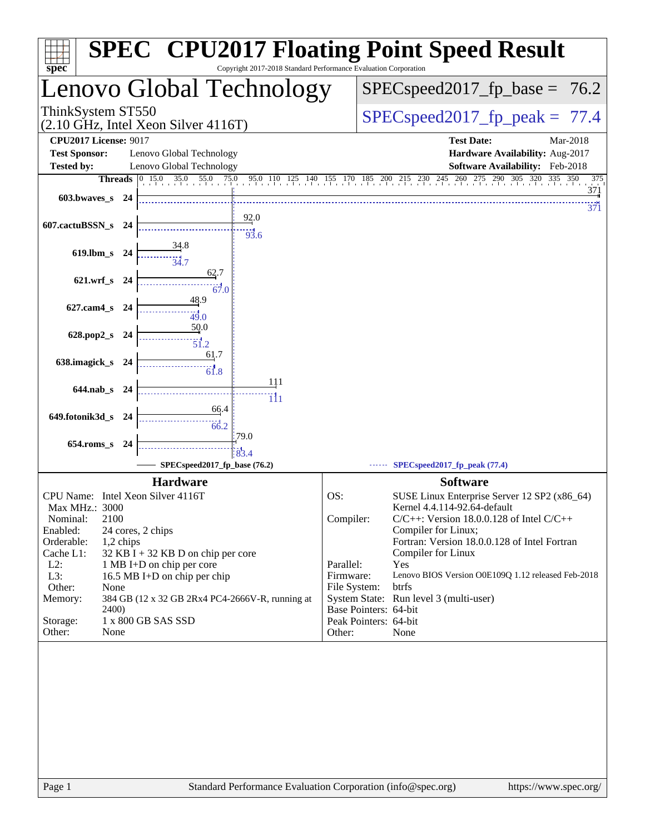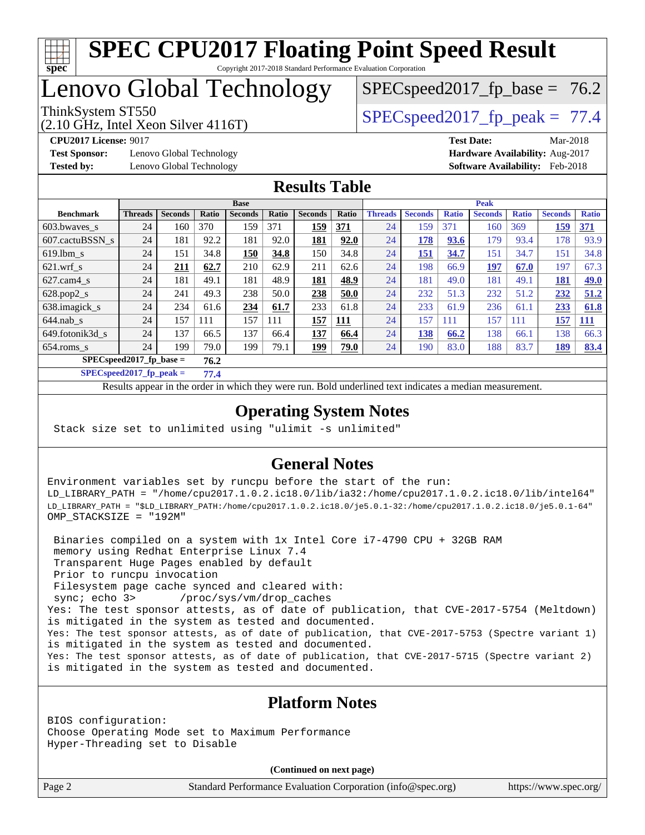

# Lenovo Global Technology

ThinkSystem ST550  $SPEC speed2017$  fp\_peak = 77.4

 $SPECspeed2017<sub>fp</sub> base = 76.2$ 

(2.10 GHz, Intel Xeon Silver 4116T)

**[Test Sponsor:](http://www.spec.org/auto/cpu2017/Docs/result-fields.html#TestSponsor)** Lenovo Global Technology **[Hardware Availability:](http://www.spec.org/auto/cpu2017/Docs/result-fields.html#HardwareAvailability)** Aug-2017

**[CPU2017 License:](http://www.spec.org/auto/cpu2017/Docs/result-fields.html#CPU2017License)** 9017 **[Test Date:](http://www.spec.org/auto/cpu2017/Docs/result-fields.html#TestDate)** Mar-2018 **[Tested by:](http://www.spec.org/auto/cpu2017/Docs/result-fields.html#Testedby)** Lenovo Global Technology **[Software Availability:](http://www.spec.org/auto/cpu2017/Docs/result-fields.html#SoftwareAvailability)** Feb-2018

## **[Results Table](http://www.spec.org/auto/cpu2017/Docs/result-fields.html#ResultsTable)**

|                                     | <b>Base</b>    |                |       |                | <b>Peak</b> |                |            |                |                |              |                |              |                |              |
|-------------------------------------|----------------|----------------|-------|----------------|-------------|----------------|------------|----------------|----------------|--------------|----------------|--------------|----------------|--------------|
| <b>Benchmark</b>                    | <b>Threads</b> | <b>Seconds</b> | Ratio | <b>Seconds</b> | Ratio       | <b>Seconds</b> | Ratio      | <b>Threads</b> | <b>Seconds</b> | <b>Ratio</b> | <b>Seconds</b> | <b>Ratio</b> | <b>Seconds</b> | <b>Ratio</b> |
| 603.bwayes_s                        | 24             | 160            | 370   | 159            | 371         | 159            | 371        | 24             | 159            | 371          | 160            | 369          | 159            | 371          |
| 607.cactuBSSN s                     | 24             | 181            | 92.2  | 181            | 92.0        | 181            | 92.0       | 24             | 178            | 93.6         | 179            | 93.4         | 178            | 93.9         |
| $619.$ lbm s                        | 24             | 151            | 34.8  | <b>150</b>     | 34.8        | 150            | 34.8       | 24             | <u>151</u>     | 34.7         | 151            | 34.7         | 151            | 34.8         |
| $621$ .wrf s                        | 24             | 211            | 62.7  | 210            | 62.9        | 211            | 62.6       | 24             | 198            | 66.9         | <u>197</u>     | 67.0         | 197            | 67.3         |
| $627$ .cam4 s                       | 24             | 181            | 49.1  | 181            | 48.9        | 181            | 48.9       | 24             | 181            | 49.0         | 181            | 49.1         | 181            | <b>49.0</b>  |
| $628.pop2_s$                        | 24             | 241            | 49.3  | 238            | 50.0        | 238            | 50.0       | 24             | 232            | 51.3         | 232            | 51.2         | 232            | 51.2         |
| 638.imagick_s                       | 24             | 234            | 61.6  | 234            | 61.7        | 233            | 61.8       | 24             | 233            | 61.9         | 236            | 61.1         | 233            | 61.8         |
| $644$ .nab s                        | 24             | 157            | 111   | 157            | 111         | 157            | <b>111</b> | 24             | 157            | 111          | 157            | 111          | 157            | <b>111</b>   |
| 649.fotonik3d s                     | 24             | 137            | 66.5  | 137            | 66.4        | 137            | 66.4       | 24             | 138            | 66.2         | 138            | 66.1         | 138            | 66.3         |
| $654$ .roms_s                       | 24             | 199            | 79.0  | 199            | 79.1        | 199            | 79.0       | 24             | 190            | 83.0         | 188            | 83.7         | 189            | 83.4         |
| $SPEC speed2017_fp\_base =$<br>76.2 |                |                |       |                |             |                |            |                |                |              |                |              |                |              |

**[SPECspeed2017\\_fp\\_peak =](http://www.spec.org/auto/cpu2017/Docs/result-fields.html#SPECspeed2017fppeak) 77.4**

Results appear in the [order in which they were run.](http://www.spec.org/auto/cpu2017/Docs/result-fields.html#RunOrder) Bold underlined text [indicates a median measurement](http://www.spec.org/auto/cpu2017/Docs/result-fields.html#Median).

## **[Operating System Notes](http://www.spec.org/auto/cpu2017/Docs/result-fields.html#OperatingSystemNotes)**

Stack size set to unlimited using "ulimit -s unlimited"

## **[General Notes](http://www.spec.org/auto/cpu2017/Docs/result-fields.html#GeneralNotes)**

Environment variables set by runcpu before the start of the run: LD\_LIBRARY\_PATH = "/home/cpu2017.1.0.2.ic18.0/lib/ia32:/home/cpu2017.1.0.2.ic18.0/lib/intel64" LD\_LIBRARY\_PATH = "\$LD\_LIBRARY\_PATH:/home/cpu2017.1.0.2.ic18.0/je5.0.1-32:/home/cpu2017.1.0.2.ic18.0/je5.0.1-64" OMP\_STACKSIZE = "192M"

 Binaries compiled on a system with 1x Intel Core i7-4790 CPU + 32GB RAM memory using Redhat Enterprise Linux 7.4 Transparent Huge Pages enabled by default Prior to runcpu invocation Filesystem page cache synced and cleared with: sync; echo 3> /proc/sys/vm/drop\_caches Yes: The test sponsor attests, as of date of publication, that CVE-2017-5754 (Meltdown) is mitigated in the system as tested and documented. Yes: The test sponsor attests, as of date of publication, that CVE-2017-5753 (Spectre variant 1) is mitigated in the system as tested and documented. Yes: The test sponsor attests, as of date of publication, that CVE-2017-5715 (Spectre variant 2) is mitigated in the system as tested and documented.

### **[Platform Notes](http://www.spec.org/auto/cpu2017/Docs/result-fields.html#PlatformNotes)**

BIOS configuration: Choose Operating Mode set to Maximum Performance Hyper-Threading set to Disable

**(Continued on next page)**

Page 2 Standard Performance Evaluation Corporation [\(info@spec.org\)](mailto:info@spec.org) <https://www.spec.org/>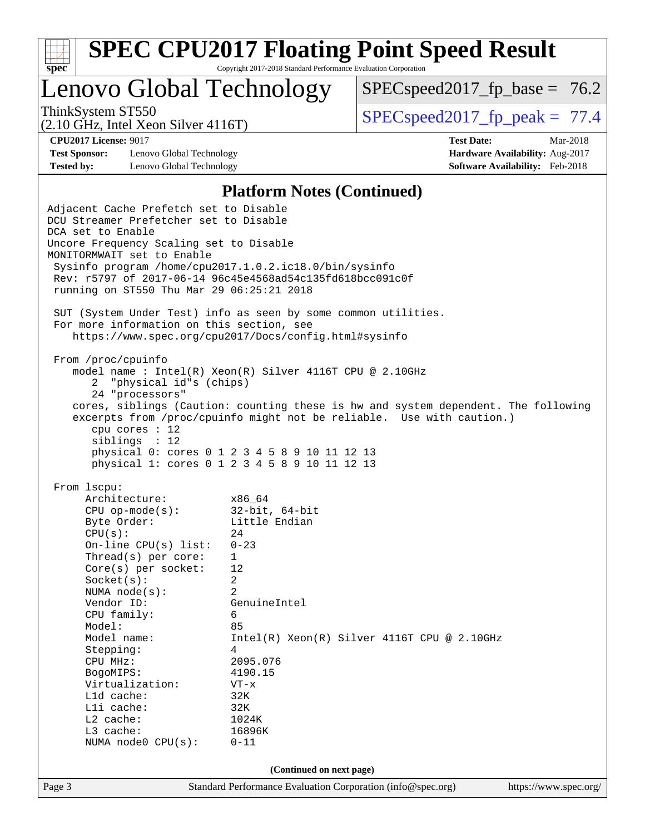| v.<br>t.<br>٠, |  |  |  |  |  |  |  |
|----------------|--|--|--|--|--|--|--|

Lenovo Global Technology

 $SPECspeed2017<sub>fp</sub> base = 76.2$ 

(2.10 GHz, Intel Xeon Silver 4116T)

ThinkSystem ST550  $SPEC speed2017$  fp\_peak = 77.4

**[Test Sponsor:](http://www.spec.org/auto/cpu2017/Docs/result-fields.html#TestSponsor)** Lenovo Global Technology **[Hardware Availability:](http://www.spec.org/auto/cpu2017/Docs/result-fields.html#HardwareAvailability)** Aug-2017 **[Tested by:](http://www.spec.org/auto/cpu2017/Docs/result-fields.html#Testedby)** Lenovo Global Technology **[Software Availability:](http://www.spec.org/auto/cpu2017/Docs/result-fields.html#SoftwareAvailability)** Feb-2018

**[CPU2017 License:](http://www.spec.org/auto/cpu2017/Docs/result-fields.html#CPU2017License)** 9017 **[Test Date:](http://www.spec.org/auto/cpu2017/Docs/result-fields.html#TestDate)** Mar-2018

#### **[Platform Notes \(Continued\)](http://www.spec.org/auto/cpu2017/Docs/result-fields.html#PlatformNotes)**

Page 3 Standard Performance Evaluation Corporation [\(info@spec.org\)](mailto:info@spec.org) <https://www.spec.org/> Adjacent Cache Prefetch set to Disable DCU Streamer Prefetcher set to Disable DCA set to Enable Uncore Frequency Scaling set to Disable MONITORMWAIT set to Enable Sysinfo program /home/cpu2017.1.0.2.ic18.0/bin/sysinfo Rev: r5797 of 2017-06-14 96c45e4568ad54c135fd618bcc091c0f running on ST550 Thu Mar 29 06:25:21 2018 SUT (System Under Test) info as seen by some common utilities. For more information on this section, see <https://www.spec.org/cpu2017/Docs/config.html#sysinfo> From /proc/cpuinfo model name : Intel(R) Xeon(R) Silver 4116T CPU @ 2.10GHz 2 "physical id"s (chips) 24 "processors" cores, siblings (Caution: counting these is hw and system dependent. The following excerpts from /proc/cpuinfo might not be reliable. Use with caution.) cpu cores : 12 siblings : 12 physical 0: cores 0 1 2 3 4 5 8 9 10 11 12 13 physical 1: cores 0 1 2 3 4 5 8 9 10 11 12 13 From lscpu: Architecture: x86\_64 CPU op-mode(s): 32-bit, 64-bit Byte Order: Little Endian  $CPU(s):$  24 On-line CPU(s) list: 0-23 Thread(s) per core: 1 Core(s) per socket: 12 Socket(s): 2 NUMA node(s): 2 Vendor ID: GenuineIntel CPU family: 6 Model: 85<br>Model name: 1n Intel(R) Xeon(R) Silver 4116T CPU @ 2.10GHz Stepping: 4 CPU MHz: 2095.076 BogoMIPS: 4190.15 Virtualization: VT-x L1d cache: 32K L1i cache: 32K L2 cache: 1024K L3 cache: 16896K NUMA node0 CPU(s): 0-11 **(Continued on next page)**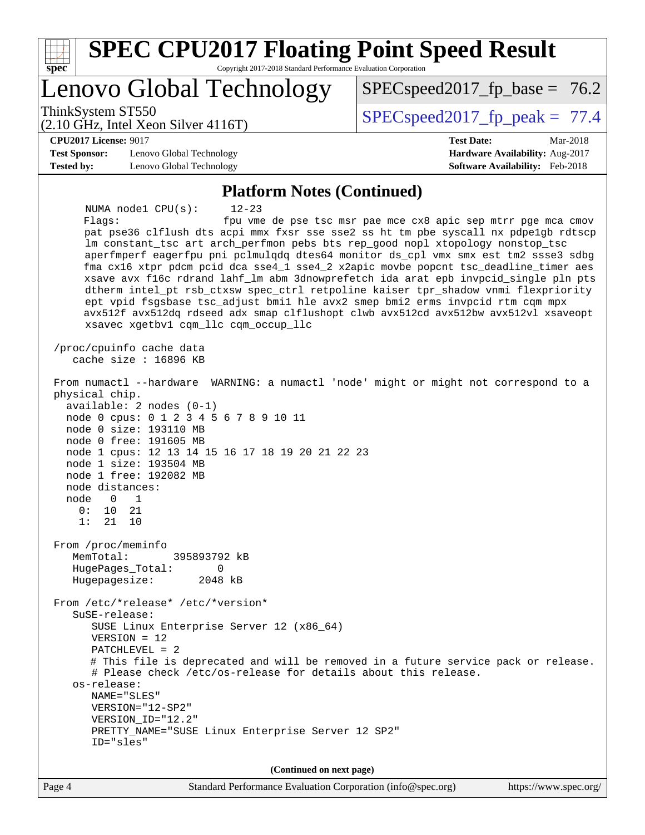| <b>SPEC CPU2017 Floating Point Speed Result</b><br>spec<br>Copyright 2017-2018 Standard Performance Evaluation Corporation                                                                                                                                                                                                                                                                                                                                                                                                                                                                                                                                                                                                                                                                                                                                                                                                                                                                                                                                               |                                                                                                            |
|--------------------------------------------------------------------------------------------------------------------------------------------------------------------------------------------------------------------------------------------------------------------------------------------------------------------------------------------------------------------------------------------------------------------------------------------------------------------------------------------------------------------------------------------------------------------------------------------------------------------------------------------------------------------------------------------------------------------------------------------------------------------------------------------------------------------------------------------------------------------------------------------------------------------------------------------------------------------------------------------------------------------------------------------------------------------------|------------------------------------------------------------------------------------------------------------|
| Lenovo Global Technology                                                                                                                                                                                                                                                                                                                                                                                                                                                                                                                                                                                                                                                                                                                                                                                                                                                                                                                                                                                                                                                 | $SPEC speed2017_f p\_base = 76.2$                                                                          |
| ThinkSystem ST550<br>$(2.10 \text{ GHz}, \text{Intel Xeon Silver } 4116 \text{T})$                                                                                                                                                                                                                                                                                                                                                                                                                                                                                                                                                                                                                                                                                                                                                                                                                                                                                                                                                                                       | $SPEC speed2017_fp\_peak = 77.4$                                                                           |
| <b>CPU2017 License: 9017</b><br><b>Test Sponsor:</b><br>Lenovo Global Technology<br><b>Tested by:</b><br>Lenovo Global Technology                                                                                                                                                                                                                                                                                                                                                                                                                                                                                                                                                                                                                                                                                                                                                                                                                                                                                                                                        | <b>Test Date:</b><br>Mar-2018<br>Hardware Availability: Aug-2017<br><b>Software Availability:</b> Feb-2018 |
| <b>Platform Notes (Continued)</b><br>NUMA nodel CPU(s):<br>$12 - 23$<br>Flags:<br>pat pse36 clflush dts acpi mmx fxsr sse sse2 ss ht tm pbe syscall nx pdpelgb rdtscp<br>lm constant_tsc art arch_perfmon pebs bts rep_good nopl xtopology nonstop_tsc<br>aperfmperf eagerfpu pni pclmulqdq dtes64 monitor ds_cpl vmx smx est tm2 ssse3 sdbg<br>fma cx16 xtpr pdcm pcid dca sse4_1 sse4_2 x2apic movbe popcnt tsc_deadline_timer aes<br>xsave avx f16c rdrand lahf_lm abm 3dnowprefetch ida arat epb invpcid_single pln pts<br>dtherm intel_pt rsb_ctxsw spec_ctrl retpoline kaiser tpr_shadow vnmi flexpriority<br>ept vpid fsgsbase tsc_adjust bmil hle avx2 smep bmi2 erms invpcid rtm cqm mpx<br>avx512f avx512dq rdseed adx smap clflushopt clwb avx512cd avx512bw avx512vl xsaveopt<br>xsavec xgetbvl cqm_llc cqm_occup_llc<br>/proc/cpuinfo cache data<br>cache size : 16896 KB<br>From numactl --hardware WARNING: a numactl 'node' might or might not correspond to a<br>physical chip.<br>$available: 2 nodes (0-1)$<br>node 0 cpus: 0 1 2 3 4 5 6 7 8 9 10 11 | fpu vme de pse tsc msr pae mce cx8 apic sep mtrr pge mca cmov                                              |
| node 0 size: 193110 MB<br>node 0 free: 191605 MB<br>node 1 cpus: 12 13 14 15 16 17 18 19 20 21 22 23<br>node 1 size: 193504 MB<br>node 1 free: 192082 MB<br>node distances:<br>node<br>0<br>1<br>21<br>0:<br>10<br>1:<br>21<br>10                                                                                                                                                                                                                                                                                                                                                                                                                                                                                                                                                                                                                                                                                                                                                                                                                                        |                                                                                                            |
| From /proc/meminfo<br>MemTotal:<br>395893792 kB<br>HugePages_Total:<br>0<br>2048 kB<br>Hugepagesize:                                                                                                                                                                                                                                                                                                                                                                                                                                                                                                                                                                                                                                                                                                                                                                                                                                                                                                                                                                     |                                                                                                            |
| From /etc/*release* /etc/*version*<br>$S$ uSE-release:<br>SUSE Linux Enterprise Server 12 (x86_64)<br>$VERSION = 12$<br>$PATCHLEVEL = 2$<br># This file is deprecated and will be removed in a future service pack or release.<br># Please check /etc/os-release for details about this release.<br>os-release:<br>NAME="SLES"<br>VERSION="12-SP2"<br>VERSION_ID="12.2"<br>PRETTY_NAME="SUSE Linux Enterprise Server 12 SP2"<br>ID="sles"                                                                                                                                                                                                                                                                                                                                                                                                                                                                                                                                                                                                                                |                                                                                                            |
| (Continued on next page)                                                                                                                                                                                                                                                                                                                                                                                                                                                                                                                                                                                                                                                                                                                                                                                                                                                                                                                                                                                                                                                 |                                                                                                            |
| Standard Performance Evaluation Corporation (info@spec.org)<br>Page 4                                                                                                                                                                                                                                                                                                                                                                                                                                                                                                                                                                                                                                                                                                                                                                                                                                                                                                                                                                                                    | https://www.spec.org/                                                                                      |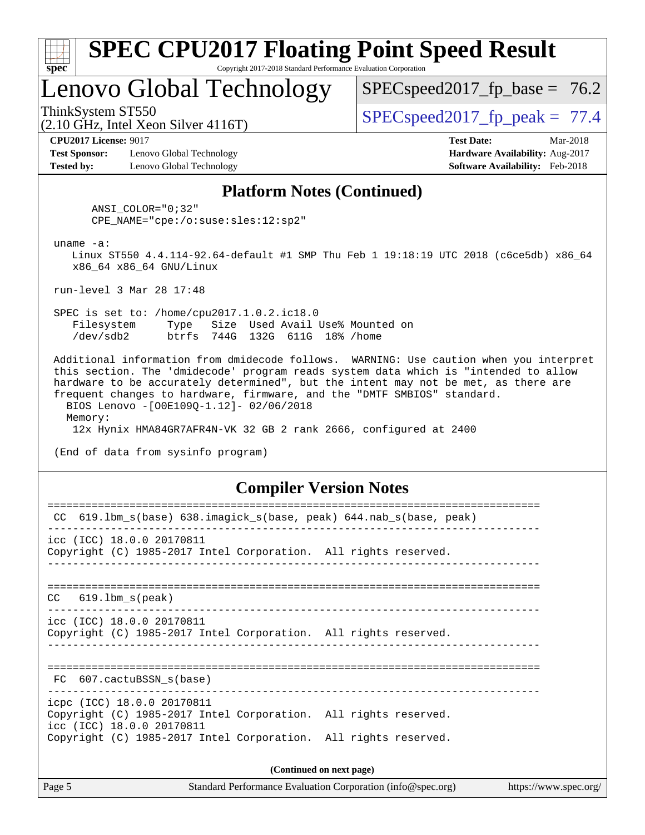| s:<br>E<br>L |  |  |  |  |  |  |  |
|--------------|--|--|--|--|--|--|--|

# Lenovo Global Technology

 $SPEC speed2017_fp\_base = 76.2$ 

(2.10 GHz, Intel Xeon Silver 4116T)

ThinkSystem ST550<br>(2.10 GHz, Intel Yean Silver 4116T) [SPECspeed2017\\_fp\\_peak =](http://www.spec.org/auto/cpu2017/Docs/result-fields.html#SPECspeed2017fppeak) 77.4

**[Test Sponsor:](http://www.spec.org/auto/cpu2017/Docs/result-fields.html#TestSponsor)** Lenovo Global Technology **[Hardware Availability:](http://www.spec.org/auto/cpu2017/Docs/result-fields.html#HardwareAvailability)** Aug-2017 **[Tested by:](http://www.spec.org/auto/cpu2017/Docs/result-fields.html#Testedby)** Lenovo Global Technology **[Software Availability:](http://www.spec.org/auto/cpu2017/Docs/result-fields.html#SoftwareAvailability)** Feb-2018

**[CPU2017 License:](http://www.spec.org/auto/cpu2017/Docs/result-fields.html#CPU2017License)** 9017 **[Test Date:](http://www.spec.org/auto/cpu2017/Docs/result-fields.html#TestDate)** Mar-2018

### **[Platform Notes \(Continued\)](http://www.spec.org/auto/cpu2017/Docs/result-fields.html#PlatformNotes)**

 ANSI\_COLOR="0;32" CPE\_NAME="cpe:/o:suse:sles:12:sp2"

uname -a:

 Linux ST550 4.4.114-92.64-default #1 SMP Thu Feb 1 19:18:19 UTC 2018 (c6ce5db) x86\_64 x86\_64 x86\_64 GNU/Linux

run-level 3 Mar 28 17:48

 SPEC is set to: /home/cpu2017.1.0.2.ic18.0 Filesystem Type Size Used Avail Use% Mounted on /dev/sdb2 btrfs 744G 132G 611G 18% /home

 Additional information from dmidecode follows. WARNING: Use caution when you interpret this section. The 'dmidecode' program reads system data which is "intended to allow hardware to be accurately determined", but the intent may not be met, as there are frequent changes to hardware, firmware, and the "DMTF SMBIOS" standard. BIOS Lenovo -[O0E109Q-1.12]- 02/06/2018 Memory:

12x Hynix HMA84GR7AFR4N-VK 32 GB 2 rank 2666, configured at 2400

(End of data from sysinfo program)

#### **[Compiler Version Notes](http://www.spec.org/auto/cpu2017/Docs/result-fields.html#CompilerVersionNotes)**

| CC 619.1bm_s(base) 638.imagick_s(base, peak) 644.nab_s(base, peak)                                                         |  |  |  |  |  |  |
|----------------------------------------------------------------------------------------------------------------------------|--|--|--|--|--|--|
| icc (ICC) 18.0.0 20170811<br>Copyright (C) 1985-2017 Intel Corporation. All rights reserved.                               |  |  |  |  |  |  |
|                                                                                                                            |  |  |  |  |  |  |
| $CC$ 619.1bm $s$ (peak)                                                                                                    |  |  |  |  |  |  |
| icc (ICC) 18.0.0 20170811<br>Copyright (C) 1985-2017 Intel Corporation. All rights reserved.                               |  |  |  |  |  |  |
| FC 607.cactuBSSN s(base)                                                                                                   |  |  |  |  |  |  |
| icpc (ICC) 18.0.0 20170811<br>Copyright (C) 1985-2017 Intel Corporation. All rights reserved.<br>icc (ICC) 18.0.0 20170811 |  |  |  |  |  |  |
| Copyright (C) 1985-2017 Intel Corporation. All rights reserved.                                                            |  |  |  |  |  |  |
| $(D_{\text{optimal}} \text{ and } m \text{ must mean})$                                                                    |  |  |  |  |  |  |

**(Continued on next page)**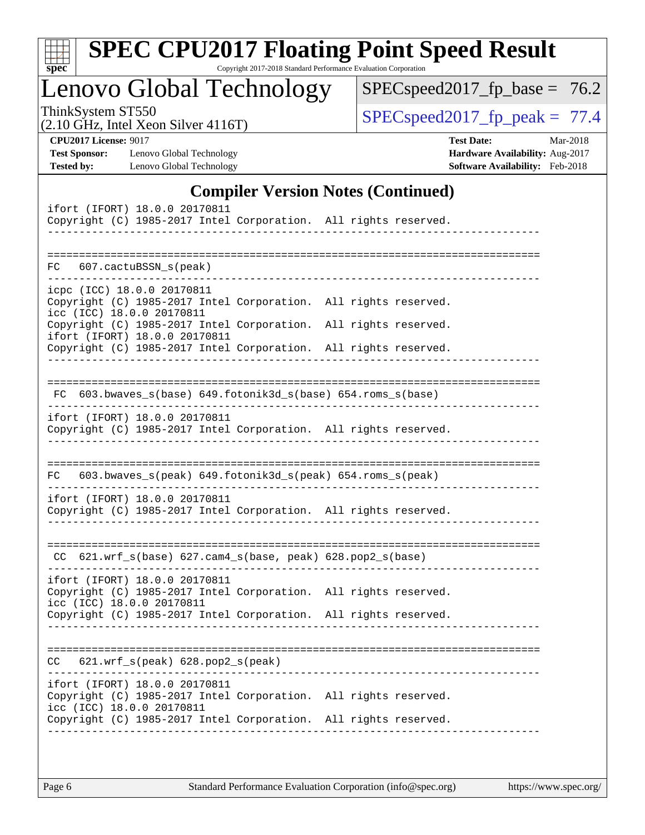| v.<br>t.<br>c |  |  |  |  |  |  |  |
|---------------|--|--|--|--|--|--|--|

# **[SPEC CPU2017 Floating Point Speed Result](http://www.spec.org/auto/cpu2017/Docs/result-fields.html#SPECCPU2017FloatingPointSpeedResult)**

Copyright 2017-2018 Standard Performance Evaluation Corporation

Lenovo Global Technology

[SPECspeed2017\\_fp\\_base =](http://www.spec.org/auto/cpu2017/Docs/result-fields.html#SPECspeed2017fpbase) 76.2

(2.10 GHz, Intel Xeon Silver 4116T)

ThinkSystem ST550<br>  $(2.10 \text{ GHz. Intel Year } 4116 \text{T})$  [SPECspeed2017\\_fp\\_peak =](http://www.spec.org/auto/cpu2017/Docs/result-fields.html#SPECspeed2017fppeak) 77.4

**[Test Sponsor:](http://www.spec.org/auto/cpu2017/Docs/result-fields.html#TestSponsor)** Lenovo Global Technology **[Hardware Availability:](http://www.spec.org/auto/cpu2017/Docs/result-fields.html#HardwareAvailability)** Aug-2017 **[Tested by:](http://www.spec.org/auto/cpu2017/Docs/result-fields.html#Testedby)** Lenovo Global Technology **[Software Availability:](http://www.spec.org/auto/cpu2017/Docs/result-fields.html#SoftwareAvailability)** Feb-2018

**[CPU2017 License:](http://www.spec.org/auto/cpu2017/Docs/result-fields.html#CPU2017License)** 9017 **[Test Date:](http://www.spec.org/auto/cpu2017/Docs/result-fields.html#TestDate)** Mar-2018

## **[Compiler Version Notes \(Continued\)](http://www.spec.org/auto/cpu2017/Docs/result-fields.html#CompilerVersionNotes)**

| ifort (IFORT) 18.0.0 20170811<br>Copyright (C) 1985-2017 Intel Corporation. All rights reserved.                                                                                                 |
|--------------------------------------------------------------------------------------------------------------------------------------------------------------------------------------------------|
| ========================<br>607.cactuBSSN_s(peak)<br>FC                                                                                                                                          |
| icpc (ICC) 18.0.0 20170811<br>Copyright (C) 1985-2017 Intel Corporation. All rights reserved.<br>icc (ICC) 18.0.0 20170811                                                                       |
| Copyright (C) 1985-2017 Intel Corporation. All rights reserved.<br>ifort (IFORT) 18.0.0 20170811<br>Copyright (C) 1985-2017 Intel Corporation. All rights reserved.                              |
| --------------------------------<br>FC 603.bwaves_s(base) 649.fotonik3d_s(base) 654.roms_s(base)                                                                                                 |
| ifort (IFORT) 18.0.0 20170811                                                                                                                                                                    |
| Copyright (C) 1985-2017 Intel Corporation. All rights reserved.                                                                                                                                  |
| 603.bwaves_s(peak) 649.fotonik3d_s(peak) 654.roms_s(peak)<br>FC.                                                                                                                                 |
| ifort (IFORT) 18.0.0 20170811<br>Copyright (C) 1985-2017 Intel Corporation. All rights reserved.                                                                                                 |
| -------------------------------<br>$CC$ 621.wrf_s(base) 627.cam4_s(base, peak) 628.pop2_s(base)                                                                                                  |
| ifort (IFORT) 18.0.0 20170811<br>Copyright (C) 1985-2017 Intel Corporation. All rights reserved.<br>icc (ICC) 18.0.0 20170811                                                                    |
| Copyright (C) 1985-2017 Intel Corporation. All rights reserved.                                                                                                                                  |
| $621.wrf_s(peak)$ $628.pop2_s(peak)$<br>CC                                                                                                                                                       |
| ifort (IFORT) 18.0.0 20170811<br>Copyright (C) 1985-2017 Intel Corporation. All rights reserved.<br>icc (ICC) 18.0.0 20170811<br>Copyright (C) 1985-2017 Intel Corporation. All rights reserved. |
|                                                                                                                                                                                                  |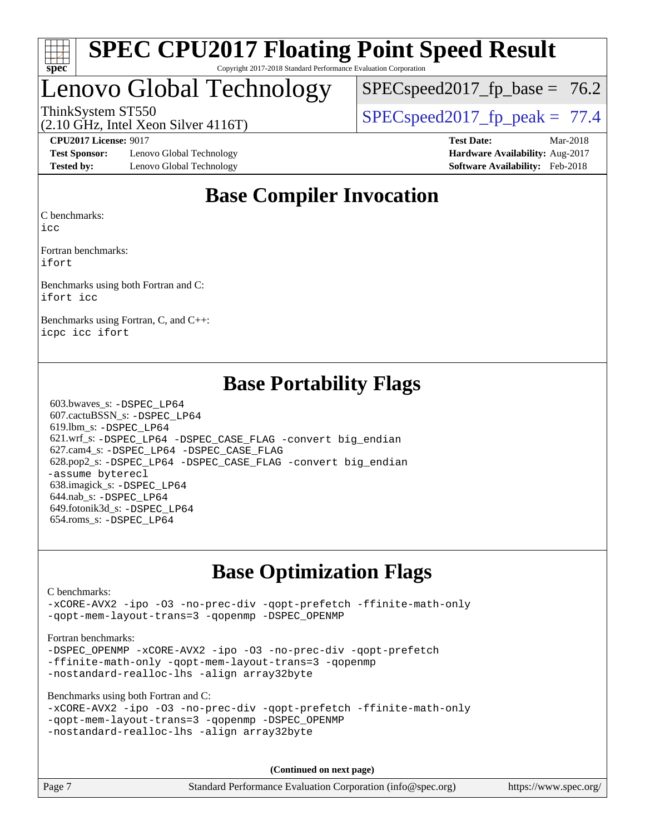

# Lenovo Global Technology

 $SPECspeed2017<sub>fp</sub> base = 76.2$ 

(2.10 GHz, Intel Xeon Silver 4116T)

ThinkSystem ST550  $SPEC speed2017$  fp\_peak = 77.4

**[Test Sponsor:](http://www.spec.org/auto/cpu2017/Docs/result-fields.html#TestSponsor)** Lenovo Global Technology **[Hardware Availability:](http://www.spec.org/auto/cpu2017/Docs/result-fields.html#HardwareAvailability)** Aug-2017 **[Tested by:](http://www.spec.org/auto/cpu2017/Docs/result-fields.html#Testedby)** Lenovo Global Technology **[Software Availability:](http://www.spec.org/auto/cpu2017/Docs/result-fields.html#SoftwareAvailability)** Feb-2018

**[CPU2017 License:](http://www.spec.org/auto/cpu2017/Docs/result-fields.html#CPU2017License)** 9017 **[Test Date:](http://www.spec.org/auto/cpu2017/Docs/result-fields.html#TestDate)** Mar-2018

## **[Base Compiler Invocation](http://www.spec.org/auto/cpu2017/Docs/result-fields.html#BaseCompilerInvocation)**

[C benchmarks](http://www.spec.org/auto/cpu2017/Docs/result-fields.html#Cbenchmarks):

[icc](http://www.spec.org/cpu2017/results/res2018q2/cpu2017-20180525-05803.flags.html#user_CCbase_intel_icc_18.0_66fc1ee009f7361af1fbd72ca7dcefbb700085f36577c54f309893dd4ec40d12360134090235512931783d35fd58c0460139e722d5067c5574d8eaf2b3e37e92)

[Fortran benchmarks:](http://www.spec.org/auto/cpu2017/Docs/result-fields.html#Fortranbenchmarks) [ifort](http://www.spec.org/cpu2017/results/res2018q2/cpu2017-20180525-05803.flags.html#user_FCbase_intel_ifort_18.0_8111460550e3ca792625aed983ce982f94888b8b503583aa7ba2b8303487b4d8a21a13e7191a45c5fd58ff318f48f9492884d4413fa793fd88dd292cad7027ca)

[Benchmarks using both Fortran and C](http://www.spec.org/auto/cpu2017/Docs/result-fields.html#BenchmarksusingbothFortranandC): [ifort](http://www.spec.org/cpu2017/results/res2018q2/cpu2017-20180525-05803.flags.html#user_CC_FCbase_intel_ifort_18.0_8111460550e3ca792625aed983ce982f94888b8b503583aa7ba2b8303487b4d8a21a13e7191a45c5fd58ff318f48f9492884d4413fa793fd88dd292cad7027ca) [icc](http://www.spec.org/cpu2017/results/res2018q2/cpu2017-20180525-05803.flags.html#user_CC_FCbase_intel_icc_18.0_66fc1ee009f7361af1fbd72ca7dcefbb700085f36577c54f309893dd4ec40d12360134090235512931783d35fd58c0460139e722d5067c5574d8eaf2b3e37e92)

[Benchmarks using Fortran, C, and C++](http://www.spec.org/auto/cpu2017/Docs/result-fields.html#BenchmarksusingFortranCandCXX): [icpc](http://www.spec.org/cpu2017/results/res2018q2/cpu2017-20180525-05803.flags.html#user_CC_CXX_FCbase_intel_icpc_18.0_c510b6838c7f56d33e37e94d029a35b4a7bccf4766a728ee175e80a419847e808290a9b78be685c44ab727ea267ec2f070ec5dc83b407c0218cded6866a35d07) [icc](http://www.spec.org/cpu2017/results/res2018q2/cpu2017-20180525-05803.flags.html#user_CC_CXX_FCbase_intel_icc_18.0_66fc1ee009f7361af1fbd72ca7dcefbb700085f36577c54f309893dd4ec40d12360134090235512931783d35fd58c0460139e722d5067c5574d8eaf2b3e37e92) [ifort](http://www.spec.org/cpu2017/results/res2018q2/cpu2017-20180525-05803.flags.html#user_CC_CXX_FCbase_intel_ifort_18.0_8111460550e3ca792625aed983ce982f94888b8b503583aa7ba2b8303487b4d8a21a13e7191a45c5fd58ff318f48f9492884d4413fa793fd88dd292cad7027ca)

## **[Base Portability Flags](http://www.spec.org/auto/cpu2017/Docs/result-fields.html#BasePortabilityFlags)**

 603.bwaves\_s: [-DSPEC\\_LP64](http://www.spec.org/cpu2017/results/res2018q2/cpu2017-20180525-05803.flags.html#suite_basePORTABILITY603_bwaves_s_DSPEC_LP64) 607.cactuBSSN\_s: [-DSPEC\\_LP64](http://www.spec.org/cpu2017/results/res2018q2/cpu2017-20180525-05803.flags.html#suite_basePORTABILITY607_cactuBSSN_s_DSPEC_LP64) 619.lbm\_s: [-DSPEC\\_LP64](http://www.spec.org/cpu2017/results/res2018q2/cpu2017-20180525-05803.flags.html#suite_basePORTABILITY619_lbm_s_DSPEC_LP64) 621.wrf\_s: [-DSPEC\\_LP64](http://www.spec.org/cpu2017/results/res2018q2/cpu2017-20180525-05803.flags.html#suite_basePORTABILITY621_wrf_s_DSPEC_LP64) [-DSPEC\\_CASE\\_FLAG](http://www.spec.org/cpu2017/results/res2018q2/cpu2017-20180525-05803.flags.html#b621.wrf_s_baseCPORTABILITY_DSPEC_CASE_FLAG) [-convert big\\_endian](http://www.spec.org/cpu2017/results/res2018q2/cpu2017-20180525-05803.flags.html#user_baseFPORTABILITY621_wrf_s_convert_big_endian_c3194028bc08c63ac5d04de18c48ce6d347e4e562e8892b8bdbdc0214820426deb8554edfa529a3fb25a586e65a3d812c835984020483e7e73212c4d31a38223) 627.cam4\_s: [-DSPEC\\_LP64](http://www.spec.org/cpu2017/results/res2018q2/cpu2017-20180525-05803.flags.html#suite_basePORTABILITY627_cam4_s_DSPEC_LP64) [-DSPEC\\_CASE\\_FLAG](http://www.spec.org/cpu2017/results/res2018q2/cpu2017-20180525-05803.flags.html#b627.cam4_s_baseCPORTABILITY_DSPEC_CASE_FLAG) 628.pop2\_s: [-DSPEC\\_LP64](http://www.spec.org/cpu2017/results/res2018q2/cpu2017-20180525-05803.flags.html#suite_basePORTABILITY628_pop2_s_DSPEC_LP64) [-DSPEC\\_CASE\\_FLAG](http://www.spec.org/cpu2017/results/res2018q2/cpu2017-20180525-05803.flags.html#b628.pop2_s_baseCPORTABILITY_DSPEC_CASE_FLAG) [-convert big\\_endian](http://www.spec.org/cpu2017/results/res2018q2/cpu2017-20180525-05803.flags.html#user_baseFPORTABILITY628_pop2_s_convert_big_endian_c3194028bc08c63ac5d04de18c48ce6d347e4e562e8892b8bdbdc0214820426deb8554edfa529a3fb25a586e65a3d812c835984020483e7e73212c4d31a38223) [-assume byterecl](http://www.spec.org/cpu2017/results/res2018q2/cpu2017-20180525-05803.flags.html#user_baseFPORTABILITY628_pop2_s_assume_byterecl_7e47d18b9513cf18525430bbf0f2177aa9bf368bc7a059c09b2c06a34b53bd3447c950d3f8d6c70e3faf3a05c8557d66a5798b567902e8849adc142926523472) 638.imagick\_s: [-DSPEC\\_LP64](http://www.spec.org/cpu2017/results/res2018q2/cpu2017-20180525-05803.flags.html#suite_basePORTABILITY638_imagick_s_DSPEC_LP64) 644.nab\_s: [-DSPEC\\_LP64](http://www.spec.org/cpu2017/results/res2018q2/cpu2017-20180525-05803.flags.html#suite_basePORTABILITY644_nab_s_DSPEC_LP64) 649.fotonik3d\_s: [-DSPEC\\_LP64](http://www.spec.org/cpu2017/results/res2018q2/cpu2017-20180525-05803.flags.html#suite_basePORTABILITY649_fotonik3d_s_DSPEC_LP64) 654.roms\_s: [-DSPEC\\_LP64](http://www.spec.org/cpu2017/results/res2018q2/cpu2017-20180525-05803.flags.html#suite_basePORTABILITY654_roms_s_DSPEC_LP64)

## **[Base Optimization Flags](http://www.spec.org/auto/cpu2017/Docs/result-fields.html#BaseOptimizationFlags)**

[C benchmarks](http://www.spec.org/auto/cpu2017/Docs/result-fields.html#Cbenchmarks):

[-xCORE-AVX2](http://www.spec.org/cpu2017/results/res2018q2/cpu2017-20180525-05803.flags.html#user_CCbase_f-xCORE-AVX2) [-ipo](http://www.spec.org/cpu2017/results/res2018q2/cpu2017-20180525-05803.flags.html#user_CCbase_f-ipo) [-O3](http://www.spec.org/cpu2017/results/res2018q2/cpu2017-20180525-05803.flags.html#user_CCbase_f-O3) [-no-prec-div](http://www.spec.org/cpu2017/results/res2018q2/cpu2017-20180525-05803.flags.html#user_CCbase_f-no-prec-div) [-qopt-prefetch](http://www.spec.org/cpu2017/results/res2018q2/cpu2017-20180525-05803.flags.html#user_CCbase_f-qopt-prefetch) [-ffinite-math-only](http://www.spec.org/cpu2017/results/res2018q2/cpu2017-20180525-05803.flags.html#user_CCbase_f_finite_math_only_cb91587bd2077682c4b38af759c288ed7c732db004271a9512da14a4f8007909a5f1427ecbf1a0fb78ff2a814402c6114ac565ca162485bbcae155b5e4258871) [-qopt-mem-layout-trans=3](http://www.spec.org/cpu2017/results/res2018q2/cpu2017-20180525-05803.flags.html#user_CCbase_f-qopt-mem-layout-trans_de80db37974c74b1f0e20d883f0b675c88c3b01e9d123adea9b28688d64333345fb62bc4a798493513fdb68f60282f9a726aa07f478b2f7113531aecce732043) [-qopenmp](http://www.spec.org/cpu2017/results/res2018q2/cpu2017-20180525-05803.flags.html#user_CCbase_qopenmp_16be0c44f24f464004c6784a7acb94aca937f053568ce72f94b139a11c7c168634a55f6653758ddd83bcf7b8463e8028bb0b48b77bcddc6b78d5d95bb1df2967) [-DSPEC\\_OPENMP](http://www.spec.org/cpu2017/results/res2018q2/cpu2017-20180525-05803.flags.html#suite_CCbase_DSPEC_OPENMP)

[Fortran benchmarks](http://www.spec.org/auto/cpu2017/Docs/result-fields.html#Fortranbenchmarks):

-DSPEC OPENMP [-xCORE-AVX2](http://www.spec.org/cpu2017/results/res2018q2/cpu2017-20180525-05803.flags.html#user_FCbase_f-xCORE-AVX2) [-ipo](http://www.spec.org/cpu2017/results/res2018q2/cpu2017-20180525-05803.flags.html#user_FCbase_f-ipo) [-O3](http://www.spec.org/cpu2017/results/res2018q2/cpu2017-20180525-05803.flags.html#user_FCbase_f-O3) [-no-prec-div](http://www.spec.org/cpu2017/results/res2018q2/cpu2017-20180525-05803.flags.html#user_FCbase_f-no-prec-div) [-qopt-prefetch](http://www.spec.org/cpu2017/results/res2018q2/cpu2017-20180525-05803.flags.html#user_FCbase_f-qopt-prefetch) [-ffinite-math-only](http://www.spec.org/cpu2017/results/res2018q2/cpu2017-20180525-05803.flags.html#user_FCbase_f_finite_math_only_cb91587bd2077682c4b38af759c288ed7c732db004271a9512da14a4f8007909a5f1427ecbf1a0fb78ff2a814402c6114ac565ca162485bbcae155b5e4258871) [-qopt-mem-layout-trans=3](http://www.spec.org/cpu2017/results/res2018q2/cpu2017-20180525-05803.flags.html#user_FCbase_f-qopt-mem-layout-trans_de80db37974c74b1f0e20d883f0b675c88c3b01e9d123adea9b28688d64333345fb62bc4a798493513fdb68f60282f9a726aa07f478b2f7113531aecce732043) [-qopenmp](http://www.spec.org/cpu2017/results/res2018q2/cpu2017-20180525-05803.flags.html#user_FCbase_qopenmp_16be0c44f24f464004c6784a7acb94aca937f053568ce72f94b139a11c7c168634a55f6653758ddd83bcf7b8463e8028bb0b48b77bcddc6b78d5d95bb1df2967) [-nostandard-realloc-lhs](http://www.spec.org/cpu2017/results/res2018q2/cpu2017-20180525-05803.flags.html#user_FCbase_f_2003_std_realloc_82b4557e90729c0f113870c07e44d33d6f5a304b4f63d4c15d2d0f1fab99f5daaed73bdb9275d9ae411527f28b936061aa8b9c8f2d63842963b95c9dd6426b8a) [-align array32byte](http://www.spec.org/cpu2017/results/res2018q2/cpu2017-20180525-05803.flags.html#user_FCbase_align_array32byte_b982fe038af199962ba9a80c053b8342c548c85b40b8e86eb3cc33dee0d7986a4af373ac2d51c3f7cf710a18d62fdce2948f201cd044323541f22fc0fffc51b6)

[Benchmarks using both Fortran and C](http://www.spec.org/auto/cpu2017/Docs/result-fields.html#BenchmarksusingbothFortranandC):

```
-xCORE-AVX2 -ipo -O3 -no-prec-div -qopt-prefetch -ffinite-math-only
-qopt-mem-layout-trans=3 -qopenmp -DSPEC_OPENMP
-nostandard-realloc-lhs -align array32byte
```
**(Continued on next page)**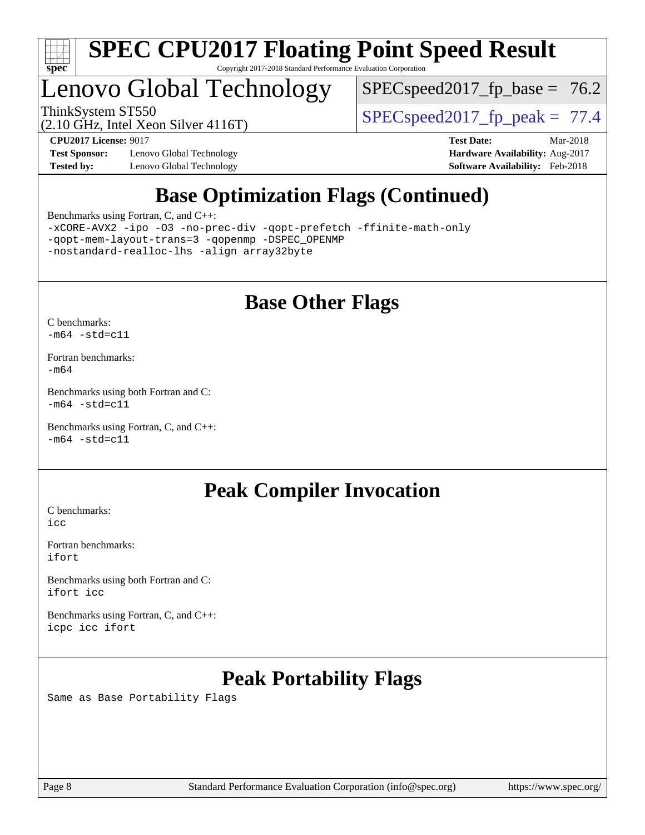

# Lenovo Global Technology

 $SPEC speed2017_fp\_base = 76.2$ 

(2.10 GHz, Intel Xeon Silver 4116T)

ThinkSystem ST550<br>(2.10 GHz, Intel Yean Silver 4116T) [SPECspeed2017\\_fp\\_peak =](http://www.spec.org/auto/cpu2017/Docs/result-fields.html#SPECspeed2017fppeak) 77.4

**[Test Sponsor:](http://www.spec.org/auto/cpu2017/Docs/result-fields.html#TestSponsor)** Lenovo Global Technology **[Hardware Availability:](http://www.spec.org/auto/cpu2017/Docs/result-fields.html#HardwareAvailability)** Aug-2017 **[Tested by:](http://www.spec.org/auto/cpu2017/Docs/result-fields.html#Testedby)** Lenovo Global Technology **[Software Availability:](http://www.spec.org/auto/cpu2017/Docs/result-fields.html#SoftwareAvailability)** Feb-2018

**[CPU2017 License:](http://www.spec.org/auto/cpu2017/Docs/result-fields.html#CPU2017License)** 9017 **[Test Date:](http://www.spec.org/auto/cpu2017/Docs/result-fields.html#TestDate)** Mar-2018

## **[Base Optimization Flags \(Continued\)](http://www.spec.org/auto/cpu2017/Docs/result-fields.html#BaseOptimizationFlags)**

[Benchmarks using Fortran, C, and C++:](http://www.spec.org/auto/cpu2017/Docs/result-fields.html#BenchmarksusingFortranCandCXX)

[-xCORE-AVX2](http://www.spec.org/cpu2017/results/res2018q2/cpu2017-20180525-05803.flags.html#user_CC_CXX_FCbase_f-xCORE-AVX2) [-ipo](http://www.spec.org/cpu2017/results/res2018q2/cpu2017-20180525-05803.flags.html#user_CC_CXX_FCbase_f-ipo) [-O3](http://www.spec.org/cpu2017/results/res2018q2/cpu2017-20180525-05803.flags.html#user_CC_CXX_FCbase_f-O3) [-no-prec-div](http://www.spec.org/cpu2017/results/res2018q2/cpu2017-20180525-05803.flags.html#user_CC_CXX_FCbase_f-no-prec-div) [-qopt-prefetch](http://www.spec.org/cpu2017/results/res2018q2/cpu2017-20180525-05803.flags.html#user_CC_CXX_FCbase_f-qopt-prefetch) [-ffinite-math-only](http://www.spec.org/cpu2017/results/res2018q2/cpu2017-20180525-05803.flags.html#user_CC_CXX_FCbase_f_finite_math_only_cb91587bd2077682c4b38af759c288ed7c732db004271a9512da14a4f8007909a5f1427ecbf1a0fb78ff2a814402c6114ac565ca162485bbcae155b5e4258871) [-qopt-mem-layout-trans=3](http://www.spec.org/cpu2017/results/res2018q2/cpu2017-20180525-05803.flags.html#user_CC_CXX_FCbase_f-qopt-mem-layout-trans_de80db37974c74b1f0e20d883f0b675c88c3b01e9d123adea9b28688d64333345fb62bc4a798493513fdb68f60282f9a726aa07f478b2f7113531aecce732043) [-qopenmp](http://www.spec.org/cpu2017/results/res2018q2/cpu2017-20180525-05803.flags.html#user_CC_CXX_FCbase_qopenmp_16be0c44f24f464004c6784a7acb94aca937f053568ce72f94b139a11c7c168634a55f6653758ddd83bcf7b8463e8028bb0b48b77bcddc6b78d5d95bb1df2967) [-DSPEC\\_OPENMP](http://www.spec.org/cpu2017/results/res2018q2/cpu2017-20180525-05803.flags.html#suite_CC_CXX_FCbase_DSPEC_OPENMP) [-nostandard-realloc-lhs](http://www.spec.org/cpu2017/results/res2018q2/cpu2017-20180525-05803.flags.html#user_CC_CXX_FCbase_f_2003_std_realloc_82b4557e90729c0f113870c07e44d33d6f5a304b4f63d4c15d2d0f1fab99f5daaed73bdb9275d9ae411527f28b936061aa8b9c8f2d63842963b95c9dd6426b8a) [-align array32byte](http://www.spec.org/cpu2017/results/res2018q2/cpu2017-20180525-05803.flags.html#user_CC_CXX_FCbase_align_array32byte_b982fe038af199962ba9a80c053b8342c548c85b40b8e86eb3cc33dee0d7986a4af373ac2d51c3f7cf710a18d62fdce2948f201cd044323541f22fc0fffc51b6)

## **[Base Other Flags](http://www.spec.org/auto/cpu2017/Docs/result-fields.html#BaseOtherFlags)**

[C benchmarks](http://www.spec.org/auto/cpu2017/Docs/result-fields.html#Cbenchmarks):  $-m64 - std= c11$  $-m64 - std= c11$ 

[Fortran benchmarks](http://www.spec.org/auto/cpu2017/Docs/result-fields.html#Fortranbenchmarks): [-m64](http://www.spec.org/cpu2017/results/res2018q2/cpu2017-20180525-05803.flags.html#user_FCbase_intel_intel64_18.0_af43caccfc8ded86e7699f2159af6efc7655f51387b94da716254467f3c01020a5059329e2569e4053f409e7c9202a7efc638f7a6d1ffb3f52dea4a3e31d82ab)

[Benchmarks using both Fortran and C](http://www.spec.org/auto/cpu2017/Docs/result-fields.html#BenchmarksusingbothFortranandC):  $-m64 - std = c11$  $-m64 - std = c11$ 

[Benchmarks using Fortran, C, and C++:](http://www.spec.org/auto/cpu2017/Docs/result-fields.html#BenchmarksusingFortranCandCXX)  $-m64$   $-std=cl1$ 

## **[Peak Compiler Invocation](http://www.spec.org/auto/cpu2017/Docs/result-fields.html#PeakCompilerInvocation)**

[C benchmarks](http://www.spec.org/auto/cpu2017/Docs/result-fields.html#Cbenchmarks): [icc](http://www.spec.org/cpu2017/results/res2018q2/cpu2017-20180525-05803.flags.html#user_CCpeak_intel_icc_18.0_66fc1ee009f7361af1fbd72ca7dcefbb700085f36577c54f309893dd4ec40d12360134090235512931783d35fd58c0460139e722d5067c5574d8eaf2b3e37e92)

[Fortran benchmarks](http://www.spec.org/auto/cpu2017/Docs/result-fields.html#Fortranbenchmarks): [ifort](http://www.spec.org/cpu2017/results/res2018q2/cpu2017-20180525-05803.flags.html#user_FCpeak_intel_ifort_18.0_8111460550e3ca792625aed983ce982f94888b8b503583aa7ba2b8303487b4d8a21a13e7191a45c5fd58ff318f48f9492884d4413fa793fd88dd292cad7027ca)

[Benchmarks using both Fortran and C](http://www.spec.org/auto/cpu2017/Docs/result-fields.html#BenchmarksusingbothFortranandC): [ifort](http://www.spec.org/cpu2017/results/res2018q2/cpu2017-20180525-05803.flags.html#user_CC_FCpeak_intel_ifort_18.0_8111460550e3ca792625aed983ce982f94888b8b503583aa7ba2b8303487b4d8a21a13e7191a45c5fd58ff318f48f9492884d4413fa793fd88dd292cad7027ca) [icc](http://www.spec.org/cpu2017/results/res2018q2/cpu2017-20180525-05803.flags.html#user_CC_FCpeak_intel_icc_18.0_66fc1ee009f7361af1fbd72ca7dcefbb700085f36577c54f309893dd4ec40d12360134090235512931783d35fd58c0460139e722d5067c5574d8eaf2b3e37e92)

[Benchmarks using Fortran, C, and C++:](http://www.spec.org/auto/cpu2017/Docs/result-fields.html#BenchmarksusingFortranCandCXX) [icpc](http://www.spec.org/cpu2017/results/res2018q2/cpu2017-20180525-05803.flags.html#user_CC_CXX_FCpeak_intel_icpc_18.0_c510b6838c7f56d33e37e94d029a35b4a7bccf4766a728ee175e80a419847e808290a9b78be685c44ab727ea267ec2f070ec5dc83b407c0218cded6866a35d07) [icc](http://www.spec.org/cpu2017/results/res2018q2/cpu2017-20180525-05803.flags.html#user_CC_CXX_FCpeak_intel_icc_18.0_66fc1ee009f7361af1fbd72ca7dcefbb700085f36577c54f309893dd4ec40d12360134090235512931783d35fd58c0460139e722d5067c5574d8eaf2b3e37e92) [ifort](http://www.spec.org/cpu2017/results/res2018q2/cpu2017-20180525-05803.flags.html#user_CC_CXX_FCpeak_intel_ifort_18.0_8111460550e3ca792625aed983ce982f94888b8b503583aa7ba2b8303487b4d8a21a13e7191a45c5fd58ff318f48f9492884d4413fa793fd88dd292cad7027ca)

## **[Peak Portability Flags](http://www.spec.org/auto/cpu2017/Docs/result-fields.html#PeakPortabilityFlags)**

Same as Base Portability Flags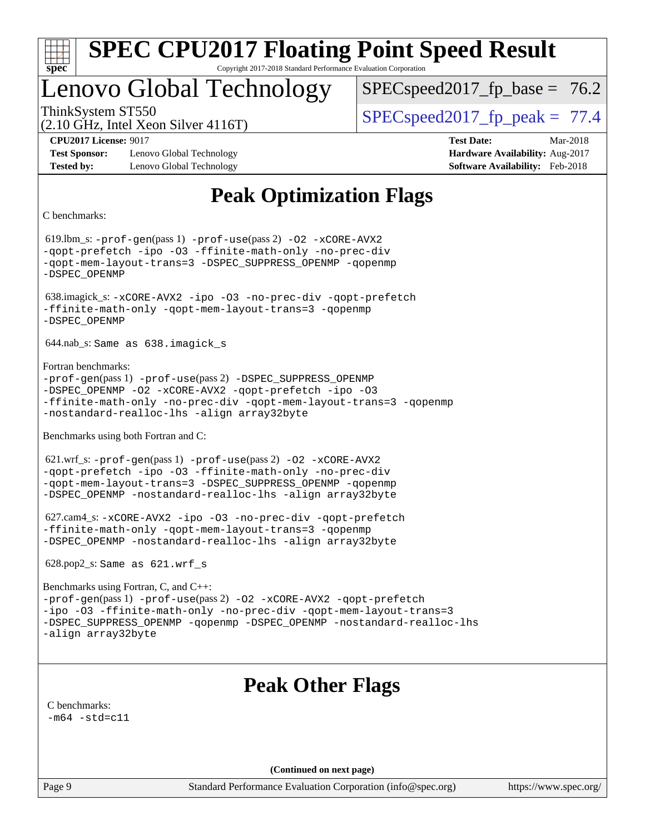| C.<br>e<br>Ч |  |  |  |  |  |  |  |
|--------------|--|--|--|--|--|--|--|

## Lenovo Global Technology

 $SPECspeed2017<sub>fp</sub> base = 76.2$ 

(2.10 GHz, Intel Xeon Silver 4116T)

ThinkSystem ST550  $SPEC speed2017$  fp\_peak = 77.4

**[Test Sponsor:](http://www.spec.org/auto/cpu2017/Docs/result-fields.html#TestSponsor)** Lenovo Global Technology **[Hardware Availability:](http://www.spec.org/auto/cpu2017/Docs/result-fields.html#HardwareAvailability)** Aug-2017 **[Tested by:](http://www.spec.org/auto/cpu2017/Docs/result-fields.html#Testedby)** Lenovo Global Technology **[Software Availability:](http://www.spec.org/auto/cpu2017/Docs/result-fields.html#SoftwareAvailability)** Feb-2018

**[CPU2017 License:](http://www.spec.org/auto/cpu2017/Docs/result-fields.html#CPU2017License)** 9017 **[Test Date:](http://www.spec.org/auto/cpu2017/Docs/result-fields.html#TestDate)** Mar-2018

## **[Peak Optimization Flags](http://www.spec.org/auto/cpu2017/Docs/result-fields.html#PeakOptimizationFlags)**

[C benchmarks](http://www.spec.org/auto/cpu2017/Docs/result-fields.html#Cbenchmarks):

 619.lbm\_s: [-prof-gen](http://www.spec.org/cpu2017/results/res2018q2/cpu2017-20180525-05803.flags.html#user_peakPASS1_CFLAGSPASS1_LDFLAGS619_lbm_s_prof_gen_5aa4926d6013ddb2a31985c654b3eb18169fc0c6952a63635c234f711e6e63dd76e94ad52365559451ec499a2cdb89e4dc58ba4c67ef54ca681ffbe1461d6b36)(pass 1) [-prof-use](http://www.spec.org/cpu2017/results/res2018q2/cpu2017-20180525-05803.flags.html#user_peakPASS2_CFLAGSPASS2_LDFLAGS619_lbm_s_prof_use_1a21ceae95f36a2b53c25747139a6c16ca95bd9def2a207b4f0849963b97e94f5260e30a0c64f4bb623698870e679ca08317ef8150905d41bd88c6f78df73f19)(pass 2) [-O2](http://www.spec.org/cpu2017/results/res2018q2/cpu2017-20180525-05803.flags.html#user_peakPASS1_COPTIMIZE619_lbm_s_f-O2) [-xCORE-AVX2](http://www.spec.org/cpu2017/results/res2018q2/cpu2017-20180525-05803.flags.html#user_peakPASS2_COPTIMIZE619_lbm_s_f-xCORE-AVX2) [-qopt-prefetch](http://www.spec.org/cpu2017/results/res2018q2/cpu2017-20180525-05803.flags.html#user_peakPASS1_COPTIMIZEPASS2_COPTIMIZE619_lbm_s_f-qopt-prefetch) [-ipo](http://www.spec.org/cpu2017/results/res2018q2/cpu2017-20180525-05803.flags.html#user_peakPASS2_COPTIMIZE619_lbm_s_f-ipo) [-O3](http://www.spec.org/cpu2017/results/res2018q2/cpu2017-20180525-05803.flags.html#user_peakPASS2_COPTIMIZE619_lbm_s_f-O3) [-ffinite-math-only](http://www.spec.org/cpu2017/results/res2018q2/cpu2017-20180525-05803.flags.html#user_peakPASS1_COPTIMIZEPASS2_COPTIMIZE619_lbm_s_f_finite_math_only_cb91587bd2077682c4b38af759c288ed7c732db004271a9512da14a4f8007909a5f1427ecbf1a0fb78ff2a814402c6114ac565ca162485bbcae155b5e4258871) [-no-prec-div](http://www.spec.org/cpu2017/results/res2018q2/cpu2017-20180525-05803.flags.html#user_peakPASS2_COPTIMIZE619_lbm_s_f-no-prec-div) [-qopt-mem-layout-trans=3](http://www.spec.org/cpu2017/results/res2018q2/cpu2017-20180525-05803.flags.html#user_peakPASS1_COPTIMIZEPASS2_COPTIMIZE619_lbm_s_f-qopt-mem-layout-trans_de80db37974c74b1f0e20d883f0b675c88c3b01e9d123adea9b28688d64333345fb62bc4a798493513fdb68f60282f9a726aa07f478b2f7113531aecce732043) [-DSPEC\\_SUPPRESS\\_OPENMP](http://www.spec.org/cpu2017/results/res2018q2/cpu2017-20180525-05803.flags.html#suite_peakPASS1_COPTIMIZE619_lbm_s_DSPEC_SUPPRESS_OPENMP) [-qopenmp](http://www.spec.org/cpu2017/results/res2018q2/cpu2017-20180525-05803.flags.html#user_peakPASS2_COPTIMIZE619_lbm_s_qopenmp_16be0c44f24f464004c6784a7acb94aca937f053568ce72f94b139a11c7c168634a55f6653758ddd83bcf7b8463e8028bb0b48b77bcddc6b78d5d95bb1df2967) [-DSPEC\\_OPENMP](http://www.spec.org/cpu2017/results/res2018q2/cpu2017-20180525-05803.flags.html#suite_peakPASS2_COPTIMIZE619_lbm_s_DSPEC_OPENMP) 638.imagick\_s: [-xCORE-AVX2](http://www.spec.org/cpu2017/results/res2018q2/cpu2017-20180525-05803.flags.html#user_peakCOPTIMIZE638_imagick_s_f-xCORE-AVX2) [-ipo](http://www.spec.org/cpu2017/results/res2018q2/cpu2017-20180525-05803.flags.html#user_peakCOPTIMIZE638_imagick_s_f-ipo) [-O3](http://www.spec.org/cpu2017/results/res2018q2/cpu2017-20180525-05803.flags.html#user_peakCOPTIMIZE638_imagick_s_f-O3) [-no-prec-div](http://www.spec.org/cpu2017/results/res2018q2/cpu2017-20180525-05803.flags.html#user_peakCOPTIMIZE638_imagick_s_f-no-prec-div) [-qopt-prefetch](http://www.spec.org/cpu2017/results/res2018q2/cpu2017-20180525-05803.flags.html#user_peakCOPTIMIZE638_imagick_s_f-qopt-prefetch) [-ffinite-math-only](http://www.spec.org/cpu2017/results/res2018q2/cpu2017-20180525-05803.flags.html#user_peakCOPTIMIZE638_imagick_s_f_finite_math_only_cb91587bd2077682c4b38af759c288ed7c732db004271a9512da14a4f8007909a5f1427ecbf1a0fb78ff2a814402c6114ac565ca162485bbcae155b5e4258871) [-qopt-mem-layout-trans=3](http://www.spec.org/cpu2017/results/res2018q2/cpu2017-20180525-05803.flags.html#user_peakCOPTIMIZE638_imagick_s_f-qopt-mem-layout-trans_de80db37974c74b1f0e20d883f0b675c88c3b01e9d123adea9b28688d64333345fb62bc4a798493513fdb68f60282f9a726aa07f478b2f7113531aecce732043) [-qopenmp](http://www.spec.org/cpu2017/results/res2018q2/cpu2017-20180525-05803.flags.html#user_peakCOPTIMIZE638_imagick_s_qopenmp_16be0c44f24f464004c6784a7acb94aca937f053568ce72f94b139a11c7c168634a55f6653758ddd83bcf7b8463e8028bb0b48b77bcddc6b78d5d95bb1df2967) [-DSPEC\\_OPENMP](http://www.spec.org/cpu2017/results/res2018q2/cpu2017-20180525-05803.flags.html#suite_peakCOPTIMIZE638_imagick_s_DSPEC_OPENMP) 644.nab\_s: Same as 638.imagick\_s [Fortran benchmarks:](http://www.spec.org/auto/cpu2017/Docs/result-fields.html#Fortranbenchmarks) [-prof-gen](http://www.spec.org/cpu2017/results/res2018q2/cpu2017-20180525-05803.flags.html#user_FCpeak_prof_gen_5aa4926d6013ddb2a31985c654b3eb18169fc0c6952a63635c234f711e6e63dd76e94ad52365559451ec499a2cdb89e4dc58ba4c67ef54ca681ffbe1461d6b36)(pass 1) [-prof-use](http://www.spec.org/cpu2017/results/res2018q2/cpu2017-20180525-05803.flags.html#user_FCpeak_prof_use_1a21ceae95f36a2b53c25747139a6c16ca95bd9def2a207b4f0849963b97e94f5260e30a0c64f4bb623698870e679ca08317ef8150905d41bd88c6f78df73f19)(pass 2) [-DSPEC\\_SUPPRESS\\_OPENMP](http://www.spec.org/cpu2017/results/res2018q2/cpu2017-20180525-05803.flags.html#suite_FCpeak_DSPEC_SUPPRESS_OPENMP) [-DSPEC\\_OPENMP](http://www.spec.org/cpu2017/results/res2018q2/cpu2017-20180525-05803.flags.html#suite_FCpeak_DSPEC_OPENMP) [-O2](http://www.spec.org/cpu2017/results/res2018q2/cpu2017-20180525-05803.flags.html#user_FCpeak_f-O2) [-xCORE-AVX2](http://www.spec.org/cpu2017/results/res2018q2/cpu2017-20180525-05803.flags.html#user_FCpeak_f-xCORE-AVX2) [-qopt-prefetch](http://www.spec.org/cpu2017/results/res2018q2/cpu2017-20180525-05803.flags.html#user_FCpeak_f-qopt-prefetch) [-ipo](http://www.spec.org/cpu2017/results/res2018q2/cpu2017-20180525-05803.flags.html#user_FCpeak_f-ipo) [-O3](http://www.spec.org/cpu2017/results/res2018q2/cpu2017-20180525-05803.flags.html#user_FCpeak_f-O3) [-ffinite-math-only](http://www.spec.org/cpu2017/results/res2018q2/cpu2017-20180525-05803.flags.html#user_FCpeak_f_finite_math_only_cb91587bd2077682c4b38af759c288ed7c732db004271a9512da14a4f8007909a5f1427ecbf1a0fb78ff2a814402c6114ac565ca162485bbcae155b5e4258871) [-no-prec-div](http://www.spec.org/cpu2017/results/res2018q2/cpu2017-20180525-05803.flags.html#user_FCpeak_f-no-prec-div) [-qopt-mem-layout-trans=3](http://www.spec.org/cpu2017/results/res2018q2/cpu2017-20180525-05803.flags.html#user_FCpeak_f-qopt-mem-layout-trans_de80db37974c74b1f0e20d883f0b675c88c3b01e9d123adea9b28688d64333345fb62bc4a798493513fdb68f60282f9a726aa07f478b2f7113531aecce732043) [-qopenmp](http://www.spec.org/cpu2017/results/res2018q2/cpu2017-20180525-05803.flags.html#user_FCpeak_qopenmp_16be0c44f24f464004c6784a7acb94aca937f053568ce72f94b139a11c7c168634a55f6653758ddd83bcf7b8463e8028bb0b48b77bcddc6b78d5d95bb1df2967) [-nostandard-realloc-lhs](http://www.spec.org/cpu2017/results/res2018q2/cpu2017-20180525-05803.flags.html#user_FCpeak_f_2003_std_realloc_82b4557e90729c0f113870c07e44d33d6f5a304b4f63d4c15d2d0f1fab99f5daaed73bdb9275d9ae411527f28b936061aa8b9c8f2d63842963b95c9dd6426b8a) [-align array32byte](http://www.spec.org/cpu2017/results/res2018q2/cpu2017-20180525-05803.flags.html#user_FCpeak_align_array32byte_b982fe038af199962ba9a80c053b8342c548c85b40b8e86eb3cc33dee0d7986a4af373ac2d51c3f7cf710a18d62fdce2948f201cd044323541f22fc0fffc51b6) [Benchmarks using both Fortran and C](http://www.spec.org/auto/cpu2017/Docs/result-fields.html#BenchmarksusingbothFortranandC): 621.wrf\_s: [-prof-gen](http://www.spec.org/cpu2017/results/res2018q2/cpu2017-20180525-05803.flags.html#user_peakPASS1_CFLAGSPASS1_FFLAGSPASS1_LDFLAGS621_wrf_s_prof_gen_5aa4926d6013ddb2a31985c654b3eb18169fc0c6952a63635c234f711e6e63dd76e94ad52365559451ec499a2cdb89e4dc58ba4c67ef54ca681ffbe1461d6b36)(pass 1) [-prof-use](http://www.spec.org/cpu2017/results/res2018q2/cpu2017-20180525-05803.flags.html#user_peakPASS2_CFLAGSPASS2_FFLAGSPASS2_LDFLAGS621_wrf_s_prof_use_1a21ceae95f36a2b53c25747139a6c16ca95bd9def2a207b4f0849963b97e94f5260e30a0c64f4bb623698870e679ca08317ef8150905d41bd88c6f78df73f19)(pass 2) [-O2](http://www.spec.org/cpu2017/results/res2018q2/cpu2017-20180525-05803.flags.html#user_peakPASS1_COPTIMIZEPASS1_FOPTIMIZE621_wrf_s_f-O2) [-xCORE-AVX2](http://www.spec.org/cpu2017/results/res2018q2/cpu2017-20180525-05803.flags.html#user_peakPASS2_COPTIMIZEPASS2_FOPTIMIZE621_wrf_s_f-xCORE-AVX2) [-qopt-prefetch](http://www.spec.org/cpu2017/results/res2018q2/cpu2017-20180525-05803.flags.html#user_peakPASS1_COPTIMIZEPASS1_FOPTIMIZEPASS2_COPTIMIZEPASS2_FOPTIMIZE621_wrf_s_f-qopt-prefetch) [-ipo](http://www.spec.org/cpu2017/results/res2018q2/cpu2017-20180525-05803.flags.html#user_peakPASS2_COPTIMIZEPASS2_FOPTIMIZE621_wrf_s_f-ipo) [-O3](http://www.spec.org/cpu2017/results/res2018q2/cpu2017-20180525-05803.flags.html#user_peakPASS2_COPTIMIZEPASS2_FOPTIMIZE621_wrf_s_f-O3) [-ffinite-math-only](http://www.spec.org/cpu2017/results/res2018q2/cpu2017-20180525-05803.flags.html#user_peakPASS1_COPTIMIZEPASS1_FOPTIMIZEPASS2_COPTIMIZEPASS2_FOPTIMIZE621_wrf_s_f_finite_math_only_cb91587bd2077682c4b38af759c288ed7c732db004271a9512da14a4f8007909a5f1427ecbf1a0fb78ff2a814402c6114ac565ca162485bbcae155b5e4258871) [-no-prec-div](http://www.spec.org/cpu2017/results/res2018q2/cpu2017-20180525-05803.flags.html#user_peakPASS2_COPTIMIZEPASS2_FOPTIMIZE621_wrf_s_f-no-prec-div) [-qopt-mem-layout-trans=3](http://www.spec.org/cpu2017/results/res2018q2/cpu2017-20180525-05803.flags.html#user_peakPASS1_COPTIMIZEPASS1_FOPTIMIZEPASS2_COPTIMIZEPASS2_FOPTIMIZE621_wrf_s_f-qopt-mem-layout-trans_de80db37974c74b1f0e20d883f0b675c88c3b01e9d123adea9b28688d64333345fb62bc4a798493513fdb68f60282f9a726aa07f478b2f7113531aecce732043) [-DSPEC\\_SUPPRESS\\_OPENMP](http://www.spec.org/cpu2017/results/res2018q2/cpu2017-20180525-05803.flags.html#suite_peakPASS1_COPTIMIZEPASS1_FOPTIMIZE621_wrf_s_DSPEC_SUPPRESS_OPENMP) [-qopenmp](http://www.spec.org/cpu2017/results/res2018q2/cpu2017-20180525-05803.flags.html#user_peakPASS2_COPTIMIZEPASS2_FOPTIMIZE621_wrf_s_qopenmp_16be0c44f24f464004c6784a7acb94aca937f053568ce72f94b139a11c7c168634a55f6653758ddd83bcf7b8463e8028bb0b48b77bcddc6b78d5d95bb1df2967) [-DSPEC\\_OPENMP](http://www.spec.org/cpu2017/results/res2018q2/cpu2017-20180525-05803.flags.html#suite_peakPASS2_COPTIMIZEPASS2_FOPTIMIZE621_wrf_s_DSPEC_OPENMP) [-nostandard-realloc-lhs](http://www.spec.org/cpu2017/results/res2018q2/cpu2017-20180525-05803.flags.html#user_peakEXTRA_FOPTIMIZE621_wrf_s_f_2003_std_realloc_82b4557e90729c0f113870c07e44d33d6f5a304b4f63d4c15d2d0f1fab99f5daaed73bdb9275d9ae411527f28b936061aa8b9c8f2d63842963b95c9dd6426b8a) [-align array32byte](http://www.spec.org/cpu2017/results/res2018q2/cpu2017-20180525-05803.flags.html#user_peakEXTRA_FOPTIMIZE621_wrf_s_align_array32byte_b982fe038af199962ba9a80c053b8342c548c85b40b8e86eb3cc33dee0d7986a4af373ac2d51c3f7cf710a18d62fdce2948f201cd044323541f22fc0fffc51b6) 627.cam4\_s: [-xCORE-AVX2](http://www.spec.org/cpu2017/results/res2018q2/cpu2017-20180525-05803.flags.html#user_peakCOPTIMIZEFOPTIMIZE627_cam4_s_f-xCORE-AVX2) [-ipo](http://www.spec.org/cpu2017/results/res2018q2/cpu2017-20180525-05803.flags.html#user_peakCOPTIMIZEFOPTIMIZE627_cam4_s_f-ipo) [-O3](http://www.spec.org/cpu2017/results/res2018q2/cpu2017-20180525-05803.flags.html#user_peakCOPTIMIZEFOPTIMIZE627_cam4_s_f-O3) [-no-prec-div](http://www.spec.org/cpu2017/results/res2018q2/cpu2017-20180525-05803.flags.html#user_peakCOPTIMIZEFOPTIMIZE627_cam4_s_f-no-prec-div) [-qopt-prefetch](http://www.spec.org/cpu2017/results/res2018q2/cpu2017-20180525-05803.flags.html#user_peakCOPTIMIZEFOPTIMIZE627_cam4_s_f-qopt-prefetch) [-ffinite-math-only](http://www.spec.org/cpu2017/results/res2018q2/cpu2017-20180525-05803.flags.html#user_peakCOPTIMIZEFOPTIMIZE627_cam4_s_f_finite_math_only_cb91587bd2077682c4b38af759c288ed7c732db004271a9512da14a4f8007909a5f1427ecbf1a0fb78ff2a814402c6114ac565ca162485bbcae155b5e4258871) [-qopt-mem-layout-trans=3](http://www.spec.org/cpu2017/results/res2018q2/cpu2017-20180525-05803.flags.html#user_peakCOPTIMIZEFOPTIMIZE627_cam4_s_f-qopt-mem-layout-trans_de80db37974c74b1f0e20d883f0b675c88c3b01e9d123adea9b28688d64333345fb62bc4a798493513fdb68f60282f9a726aa07f478b2f7113531aecce732043) [-qopenmp](http://www.spec.org/cpu2017/results/res2018q2/cpu2017-20180525-05803.flags.html#user_peakCOPTIMIZEFOPTIMIZE627_cam4_s_qopenmp_16be0c44f24f464004c6784a7acb94aca937f053568ce72f94b139a11c7c168634a55f6653758ddd83bcf7b8463e8028bb0b48b77bcddc6b78d5d95bb1df2967) [-DSPEC\\_OPENMP](http://www.spec.org/cpu2017/results/res2018q2/cpu2017-20180525-05803.flags.html#suite_peakCOPTIMIZEFOPTIMIZE627_cam4_s_DSPEC_OPENMP) [-nostandard-realloc-lhs](http://www.spec.org/cpu2017/results/res2018q2/cpu2017-20180525-05803.flags.html#user_peakEXTRA_FOPTIMIZE627_cam4_s_f_2003_std_realloc_82b4557e90729c0f113870c07e44d33d6f5a304b4f63d4c15d2d0f1fab99f5daaed73bdb9275d9ae411527f28b936061aa8b9c8f2d63842963b95c9dd6426b8a) [-align array32byte](http://www.spec.org/cpu2017/results/res2018q2/cpu2017-20180525-05803.flags.html#user_peakEXTRA_FOPTIMIZE627_cam4_s_align_array32byte_b982fe038af199962ba9a80c053b8342c548c85b40b8e86eb3cc33dee0d7986a4af373ac2d51c3f7cf710a18d62fdce2948f201cd044323541f22fc0fffc51b6) 628.pop2\_s: Same as 621.wrf\_s [Benchmarks using Fortran, C, and C++](http://www.spec.org/auto/cpu2017/Docs/result-fields.html#BenchmarksusingFortranCandCXX): [-prof-gen](http://www.spec.org/cpu2017/results/res2018q2/cpu2017-20180525-05803.flags.html#user_CC_CXX_FCpeak_prof_gen_5aa4926d6013ddb2a31985c654b3eb18169fc0c6952a63635c234f711e6e63dd76e94ad52365559451ec499a2cdb89e4dc58ba4c67ef54ca681ffbe1461d6b36)(pass 1) [-prof-use](http://www.spec.org/cpu2017/results/res2018q2/cpu2017-20180525-05803.flags.html#user_CC_CXX_FCpeak_prof_use_1a21ceae95f36a2b53c25747139a6c16ca95bd9def2a207b4f0849963b97e94f5260e30a0c64f4bb623698870e679ca08317ef8150905d41bd88c6f78df73f19)(pass 2) [-O2](http://www.spec.org/cpu2017/results/res2018q2/cpu2017-20180525-05803.flags.html#user_CC_CXX_FCpeak_f-O2) [-xCORE-AVX2](http://www.spec.org/cpu2017/results/res2018q2/cpu2017-20180525-05803.flags.html#user_CC_CXX_FCpeak_f-xCORE-AVX2) [-qopt-prefetch](http://www.spec.org/cpu2017/results/res2018q2/cpu2017-20180525-05803.flags.html#user_CC_CXX_FCpeak_f-qopt-prefetch) [-ipo](http://www.spec.org/cpu2017/results/res2018q2/cpu2017-20180525-05803.flags.html#user_CC_CXX_FCpeak_f-ipo) [-O3](http://www.spec.org/cpu2017/results/res2018q2/cpu2017-20180525-05803.flags.html#user_CC_CXX_FCpeak_f-O3) [-ffinite-math-only](http://www.spec.org/cpu2017/results/res2018q2/cpu2017-20180525-05803.flags.html#user_CC_CXX_FCpeak_f_finite_math_only_cb91587bd2077682c4b38af759c288ed7c732db004271a9512da14a4f8007909a5f1427ecbf1a0fb78ff2a814402c6114ac565ca162485bbcae155b5e4258871) [-no-prec-div](http://www.spec.org/cpu2017/results/res2018q2/cpu2017-20180525-05803.flags.html#user_CC_CXX_FCpeak_f-no-prec-div) [-qopt-mem-layout-trans=3](http://www.spec.org/cpu2017/results/res2018q2/cpu2017-20180525-05803.flags.html#user_CC_CXX_FCpeak_f-qopt-mem-layout-trans_de80db37974c74b1f0e20d883f0b675c88c3b01e9d123adea9b28688d64333345fb62bc4a798493513fdb68f60282f9a726aa07f478b2f7113531aecce732043) [-DSPEC\\_SUPPRESS\\_OPENMP](http://www.spec.org/cpu2017/results/res2018q2/cpu2017-20180525-05803.flags.html#suite_CC_CXX_FCpeak_DSPEC_SUPPRESS_OPENMP) [-qopenmp](http://www.spec.org/cpu2017/results/res2018q2/cpu2017-20180525-05803.flags.html#user_CC_CXX_FCpeak_qopenmp_16be0c44f24f464004c6784a7acb94aca937f053568ce72f94b139a11c7c168634a55f6653758ddd83bcf7b8463e8028bb0b48b77bcddc6b78d5d95bb1df2967) [-DSPEC\\_OPENMP](http://www.spec.org/cpu2017/results/res2018q2/cpu2017-20180525-05803.flags.html#suite_CC_CXX_FCpeak_DSPEC_OPENMP) [-nostandard-realloc-lhs](http://www.spec.org/cpu2017/results/res2018q2/cpu2017-20180525-05803.flags.html#user_CC_CXX_FCpeak_f_2003_std_realloc_82b4557e90729c0f113870c07e44d33d6f5a304b4f63d4c15d2d0f1fab99f5daaed73bdb9275d9ae411527f28b936061aa8b9c8f2d63842963b95c9dd6426b8a) [-align array32byte](http://www.spec.org/cpu2017/results/res2018q2/cpu2017-20180525-05803.flags.html#user_CC_CXX_FCpeak_align_array32byte_b982fe038af199962ba9a80c053b8342c548c85b40b8e86eb3cc33dee0d7986a4af373ac2d51c3f7cf710a18d62fdce2948f201cd044323541f22fc0fffc51b6) **[Peak Other Flags](http://www.spec.org/auto/cpu2017/Docs/result-fields.html#PeakOtherFlags)** [C benchmarks](http://www.spec.org/auto/cpu2017/Docs/result-fields.html#Cbenchmarks):  $-m64 - std= c11$  $-m64 - std= c11$ **(Continued on next page)**

Page 9 Standard Performance Evaluation Corporation [\(info@spec.org\)](mailto:info@spec.org) <https://www.spec.org/>